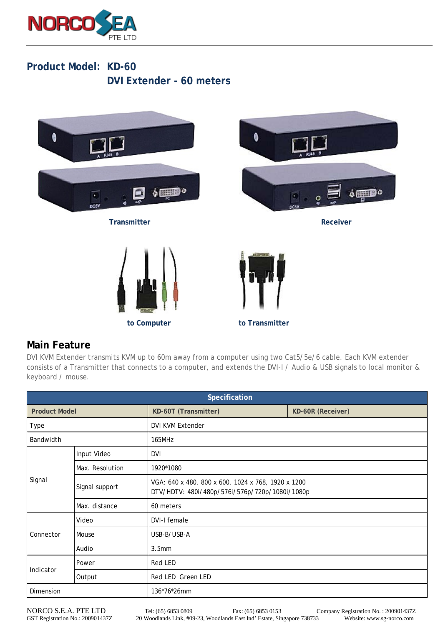

## **Product Model: KD-60 DVI Extender - 60 meters**



## **Main Feature**

DVI KVM Extender transmits KVM up to 60m away from a computer using two Cat5/5e/6 cable. Each KVM extender consists of a Transmitter that connects to a computer, and extends the DVI-I / Audio & USB signals to local monitor & keyboard / mouse.

| Specification        |                 |                                                                                                      |                   |  |
|----------------------|-----------------|------------------------------------------------------------------------------------------------------|-------------------|--|
| <b>Product Model</b> |                 | KD-60T (Transmitter)                                                                                 | KD-60R (Receiver) |  |
| Type                 |                 | <b>DVI KVM Extender</b>                                                                              |                   |  |
| Bandwidth            |                 | 165MHz                                                                                               |                   |  |
| Signal               | Input Video     | DVI                                                                                                  |                   |  |
|                      | Max. Resolution | 1920*1080                                                                                            |                   |  |
|                      | Signal support  | VGA: 640 x 480, 800 x 600, 1024 x 768, 1920 x 1200<br>DTV/HDTV: 480i/480p/576i/576p/720p/1080i/1080p |                   |  |
|                      | Max. distance   | 60 meters                                                                                            |                   |  |
| Connector            | Video           | DVI-I female                                                                                         |                   |  |
|                      | Mouse           | USB-B/USB-A                                                                                          |                   |  |
|                      | Audio           | 3.5 <sub>mm</sub>                                                                                    |                   |  |
| Indicator            | Power           | Red LED                                                                                              |                   |  |
|                      | Output          | Red LED Green LED                                                                                    |                   |  |
| Dimension            |                 | 136*76*26mm                                                                                          |                   |  |